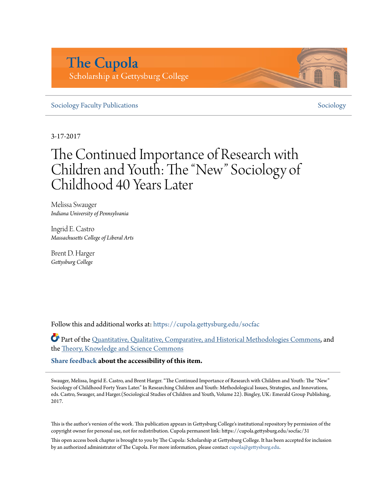# **The Cupola** Scholarship at Gettysburg College

# [Sociology Faculty Publications](https://cupola.gettysburg.edu/socfac?utm_source=cupola.gettysburg.edu%2Fsocfac%2F31&utm_medium=PDF&utm_campaign=PDFCoverPages) [Sociology](https://cupola.gettysburg.edu/sociology?utm_source=cupola.gettysburg.edu%2Fsocfac%2F31&utm_medium=PDF&utm_campaign=PDFCoverPages) Faculty Publications Sociology Sociology

3-17-2017

# The Continued Importance of Research with Children and Youth: The "New" Sociology of Childhood 40 Years Later

Melissa Swauger *Indiana University of Pennsylvania*

Ingrid E. Castro *Massachusetts College of Liberal Arts*

Brent D. Harger *Gettysburg College*

Follow this and additional works at: [https://cupola.gettysburg.edu/socfac](https://cupola.gettysburg.edu/socfac?utm_source=cupola.gettysburg.edu%2Fsocfac%2F31&utm_medium=PDF&utm_campaign=PDFCoverPages)

Part of the [Quantitative, Qualitative, Comparative, and Historical Methodologies Commons](http://network.bepress.com/hgg/discipline/423?utm_source=cupola.gettysburg.edu%2Fsocfac%2F31&utm_medium=PDF&utm_campaign=PDFCoverPages), and the [Theory, Knowledge and Science Commons](http://network.bepress.com/hgg/discipline/432?utm_source=cupola.gettysburg.edu%2Fsocfac%2F31&utm_medium=PDF&utm_campaign=PDFCoverPages)

**[Share feedback](https://docs.google.com/a/bepress.com/forms/d/1h9eEcpBPj5POs5oO6Y5A0blXRmZqykoonyYiZUNyEq8/viewform) about the accessibility of this item.**

Swauger, Melissa, Ingrid E. Castro, and Brent Harger. "The Continued Importance of Research with Children and Youth: The "New" Sociology of Childhood Forty Years Later." In Researching Children and Youth: Methodological Issues, Strategies, and Innovations, eds. Castro, Swauger, and Harger.(Sociological Studies of Children and Youth, Volume 22). Bingley, UK: Emerald Group Publishing, 2017.

This is the author's version of the work. This publication appears in Gettysburg College's institutional repository by permission of the copyright owner for personal use, not for redistribution. Cupola permanent link: https://cupola.gettysburg.edu/socfac/31

This open access book chapter is brought to you by The Cupola: Scholarship at Gettysburg College. It has been accepted for inclusion by an authorized administrator of The Cupola. For more information, please contact [cupola@gettysburg.edu](mailto:cupola@gettysburg.edu).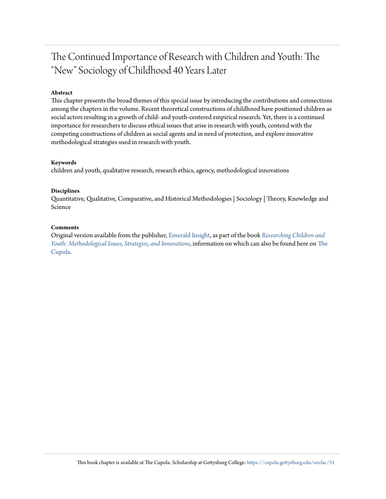# The Continued Importance of Research with Children and Youth: The "New" Sociology of Childhood 40 Years Later

## **Abstract**

This chapter presents the broad themes of this special issue by introducing the contributions and connections among the chapters in the volume. Recent theoretical constructions of childhood have positioned children as social actors resulting in a growth of child- and youth-centered empirical research. Yet, there is a continued importance for researchers to discuss ethical issues that arise in research with youth, contend with the competing constructions of children as social agents and in need of protection, and explore innovative methodological strategies used in research with youth.

#### **Keywords**

children and youth, qualitative research, research ethics, agency, methodological innovations

#### **Disciplines**

Quantitative, Qualitative, Comparative, and Historical Methodologies | Sociology | Theory, Knowledge and Science

#### **Comments**

Original version available from the publisher, [Emerald Insight,](http://www.emeraldinsight.com/doi/abs/10.1108/S1537-466120180000022001) as part of the book *[Researching Children and](http://www.emeraldinsight.com/doi/book/10.1108/S1537-4661201722) [Youth: Methodological Issues, Strategies, and Innovations](http://www.emeraldinsight.com/doi/book/10.1108/S1537-4661201722)*, information on which can also be found here on [The](http://cupola.gettysburg.edu/books/120/) [Cupola](http://cupola.gettysburg.edu/books/120/).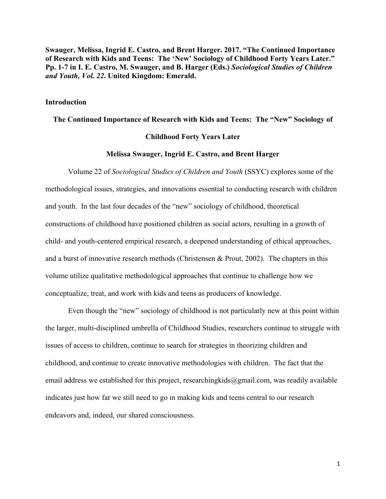**Swauger, Melissa, Ingrid E. Castro, and Brent Harger. 2017. "The Continued Importance of Research with Kids and Teens: The 'New' Sociology of Childhood Forty Years Later." Pp. 1-7 in I. E. Castro, M. Swauger, and B. Harger (Eds.)** *Sociological Studies of Children and Youth, Vol. 22***. United Kingdom: Emerald.**

## **Introduction**

**The Continued Importance of Research with Kids and Teens: The "New" Sociology of** 

# **Childhood Forty Years Later**

# **Melissa Swauger, Ingrid E. Castro, and Brent Harger**

Volume 22 of *Sociological Studies of Children and Youth* (SSYC) explores some of the methodological issues, strategies, and innovations essential to conducting research with children and youth. In the last four decades of the "new" sociology of childhood, theoretical constructions of childhood have positioned children as social actors, resulting in a growth of child- and youth-centered empirical research, a deepened understanding of ethical approaches, and a burst of innovative research methods (Christensen & Prout, 2002). The chapters in this volume utilize qualitative methodological approaches that continue to challenge how we conceptualize, treat, and work with kids and teens as producers of knowledge.

Even though the "new" sociology of childhood is not particularly new at this point within the larger, multi-disciplined umbrella of Childhood Studies, researchers continue to struggle with issues of access to children, continue to search for strategies in theorizing children and childhood, and continue to create innovative methodologies with children. The fact that the email address we established for this project, researchingkids@gmail.com, was readily available indicates just how far we still need to go in making kids and teens central to our research endeavors and, indeed, our shared consciousness.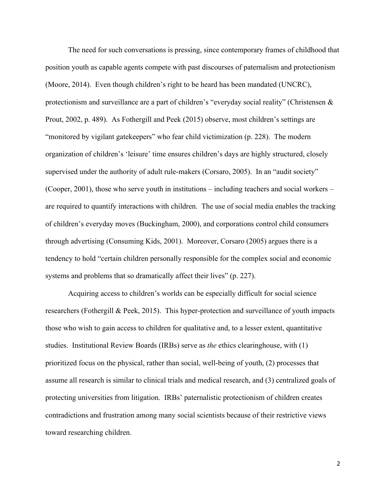The need for such conversations is pressing, since contemporary frames of childhood that position youth as capable agents compete with past discourses of paternalism and protectionism (Moore, 2014). Even though children's right to be heard has been mandated (UNCRC), protectionism and surveillance are a part of children's "everyday social reality" (Christensen & Prout, 2002, p. 489). As Fothergill and Peek (2015) observe, most children's settings are "monitored by vigilant gatekeepers" who fear child victimization (p. 228). The modern organization of children's 'leisure' time ensures children's days are highly structured, closely supervised under the authority of adult rule-makers (Corsaro, 2005). In an "audit society" (Cooper, 2001), those who serve youth in institutions – including teachers and social workers – are required to quantify interactions with children. The use of social media enables the tracking of children's everyday moves (Buckingham, 2000), and corporations control child consumers through advertising (Consuming Kids, 2001). Moreover, Corsaro (2005) argues there is a tendency to hold "certain children personally responsible for the complex social and economic systems and problems that so dramatically affect their lives" (p. 227).

Acquiring access to children's worlds can be especially difficult for social science researchers (Fothergill & Peek, 2015). This hyper-protection and surveillance of youth impacts those who wish to gain access to children for qualitative and, to a lesser extent, quantitative studies. Institutional Review Boards (IRBs) serve as *the* ethics clearinghouse, with (1) prioritized focus on the physical, rather than social, well-being of youth, (2) processes that assume all research is similar to clinical trials and medical research, and (3) centralized goals of protecting universities from litigation. IRBs' paternalistic protectionism of children creates contradictions and frustration among many social scientists because of their restrictive views toward researching children.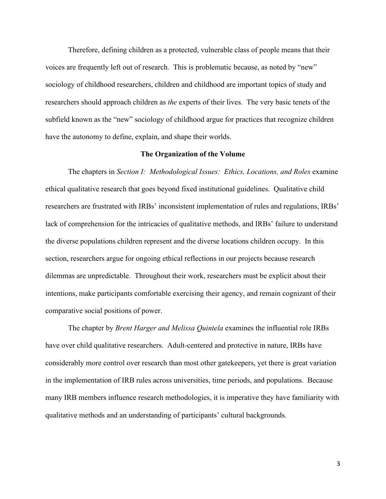Therefore, defining children as a protected, vulnerable class of people means that their voices are frequently left out of research. This is problematic because, as noted by "new" sociology of childhood researchers, children and childhood are important topics of study and researchers should approach children as *the* experts of their lives. The very basic tenets of the subfield known as the "new" sociology of childhood argue for practices that recognize children have the autonomy to define, explain, and shape their worlds.

# **The Organization of the Volume**

The chapters in *Section I: Methodological Issues: Ethics, Locations, and Roles* examine ethical qualitative research that goes beyond fixed institutional guidelines. Qualitative child researchers are frustrated with IRBs' inconsistent implementation of rules and regulations, IRBs' lack of comprehension for the intricacies of qualitative methods, and IRBs' failure to understand the diverse populations children represent and the diverse locations children occupy. In this section, researchers argue for ongoing ethical reflections in our projects because research dilemmas are unpredictable. Throughout their work, researchers must be explicit about their intentions, make participants comfortable exercising their agency, and remain cognizant of their comparative social positions of power.

The chapter by *Brent Harger and Melissa Quintela* examines the influential role IRBs have over child qualitative researchers. Adult-centered and protective in nature, IRBs have considerably more control over research than most other gatekeepers, yet there is great variation in the implementation of IRB rules across universities, time periods, and populations. Because many IRB members influence research methodologies, it is imperative they have familiarity with qualitative methods and an understanding of participants' cultural backgrounds.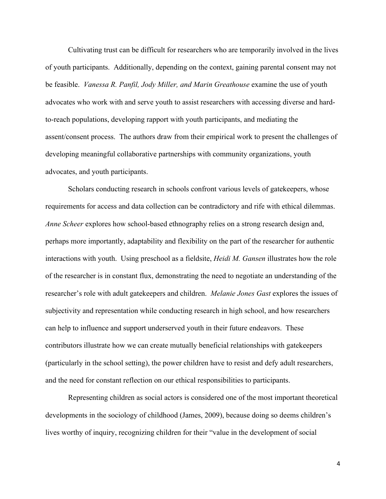Cultivating trust can be difficult for researchers who are temporarily involved in the lives of youth participants. Additionally, depending on the context, gaining parental consent may not be feasible. *Vanessa R. Panfil, Jody Miller, and Marin Greathouse* examine the use of youth advocates who work with and serve youth to assist researchers with accessing diverse and hardto-reach populations, developing rapport with youth participants, and mediating the assent/consent process. The authors draw from their empirical work to present the challenges of developing meaningful collaborative partnerships with community organizations, youth advocates, and youth participants.

Scholars conducting research in schools confront various levels of gatekeepers, whose requirements for access and data collection can be contradictory and rife with ethical dilemmas. *Anne Scheer* explores how school-based ethnography relies on a strong research design and, perhaps more importantly, adaptability and flexibility on the part of the researcher for authentic interactions with youth. Using preschool as a fieldsite, *Heidi M. Gansen* illustrates how the role of the researcher is in constant flux, demonstrating the need to negotiate an understanding of the researcher's role with adult gatekeepers and children. *Melanie Jones Gast* explores the issues of subjectivity and representation while conducting research in high school, and how researchers can help to influence and support underserved youth in their future endeavors. These contributors illustrate how we can create mutually beneficial relationships with gatekeepers (particularly in the school setting), the power children have to resist and defy adult researchers, and the need for constant reflection on our ethical responsibilities to participants.

Representing children as social actors is considered one of the most important theoretical developments in the sociology of childhood (James, 2009), because doing so deems children's lives worthy of inquiry, recognizing children for their "value in the development of social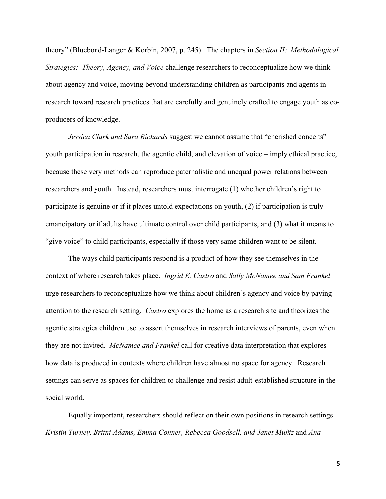theory" (Bluebond-Langer & Korbin, 2007, p. 245). The chapters in *Section II: Methodological Strategies: Theory, Agency, and Voice* challenge researchers to reconceptualize how we think about agency and voice, moving beyond understanding children as participants and agents in research toward research practices that are carefully and genuinely crafted to engage youth as coproducers of knowledge.

*Jessica Clark and Sara Richards* suggest we cannot assume that "cherished conceits" – youth participation in research, the agentic child, and elevation of voice – imply ethical practice, because these very methods can reproduce paternalistic and unequal power relations between researchers and youth. Instead, researchers must interrogate (1) whether children's right to participate is genuine or if it places untold expectations on youth, (2) if participation is truly emancipatory or if adults have ultimate control over child participants, and (3) what it means to "give voice" to child participants, especially if those very same children want to be silent.

The ways child participants respond is a product of how they see themselves in the context of where research takes place. *Ingrid E. Castro* and *Sally McNamee and Sam Frankel* urge researchers to reconceptualize how we think about children's agency and voice by paying attention to the research setting. *Castro* explores the home as a research site and theorizes the agentic strategies children use to assert themselves in research interviews of parents, even when they are not invited. *McNamee and Frankel* call for creative data interpretation that explores how data is produced in contexts where children have almost no space for agency. Research settings can serve as spaces for children to challenge and resist adult-established structure in the social world.

Equally important, researchers should reflect on their own positions in research settings. *Kristin Turney, Britni Adams, Emma Conner, Rebecca Goodsell, and Janet Muñiz* and *Ana*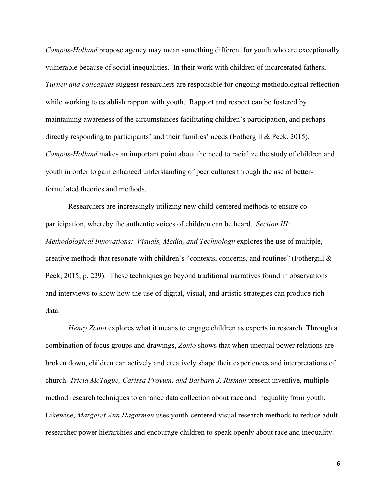*Campos-Holland* propose agency may mean something different for youth who are exceptionally vulnerable because of social inequalities. In their work with children of incarcerated fathers, *Turney and colleagues* suggest researchers are responsible for ongoing methodological reflection while working to establish rapport with youth. Rapport and respect can be fostered by maintaining awareness of the circumstances facilitating children's participation, and perhaps directly responding to participants' and their families' needs (Fothergill & Peek, 2015). *Campos-Holland* makes an important point about the need to racialize the study of children and youth in order to gain enhanced understanding of peer cultures through the use of betterformulated theories and methods.

Researchers are increasingly utilizing new child-centered methods to ensure coparticipation, whereby the authentic voices of children can be heard.*Section III: Methodological Innovations: Visuals, Media, and Technology* explores the use of multiple, creative methods that resonate with children's "contexts, concerns, and routines" (Fothergill & Peek, 2015, p. 229). These techniques go beyond traditional narratives found in observations and interviews to show how the use of digital, visual, and artistic strategies can produce rich data.

*Henry Zonio* explores what it means to engage children as experts in research*.* Through a combination of focus groups and drawings, *Zonio* shows that when unequal power relations are broken down, children can actively and creatively shape their experiences and interpretations of church. *Tricia McTague, Carissa Froyum, and Barbara J. Risman* present inventive, multiplemethod research techniques to enhance data collection about race and inequality from youth. Likewise, *Margaret Ann Hagerman* uses youth-centered visual research methods to reduce adultresearcher power hierarchies and encourage children to speak openly about race and inequality.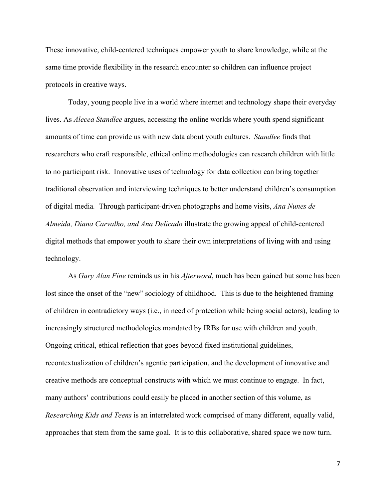These innovative, child-centered techniques empower youth to share knowledge, while at the same time provide flexibility in the research encounter so children can influence project protocols in creative ways.

Today, young people live in a world where internet and technology shape their everyday lives. As *Alecea Standlee* argues, accessing the online worlds where youth spend significant amounts of time can provide us with new data about youth cultures. *Standlee* finds that researchers who craft responsible, ethical online methodologies can research children with little to no participant risk. Innovative uses of technology for data collection can bring together traditional observation and interviewing techniques to better understand children's consumption of digital media*.* Through participant-driven photographs and home visits, *Ana Nunes de Almeida, Diana Carvalho, and Ana Delicado* illustrate the growing appeal of child-centered digital methods that empower youth to share their own interpretations of living with and using technology.

As *Gary Alan Fine* reminds us in his *Afterword*, much has been gained but some has been lost since the onset of the "new" sociology of childhood. This is due to the heightened framing of children in contradictory ways (i.e., in need of protection while being social actors), leading to increasingly structured methodologies mandated by IRBs for use with children and youth. Ongoing critical, ethical reflection that goes beyond fixed institutional guidelines, recontextualization of children's agentic participation, and the development of innovative and creative methods are conceptual constructs with which we must continue to engage. In fact, many authors' contributions could easily be placed in another section of this volume, as *Researching Kids and Teens* is an interrelated work comprised of many different, equally valid, approaches that stem from the same goal. It is to this collaborative, shared space we now turn.